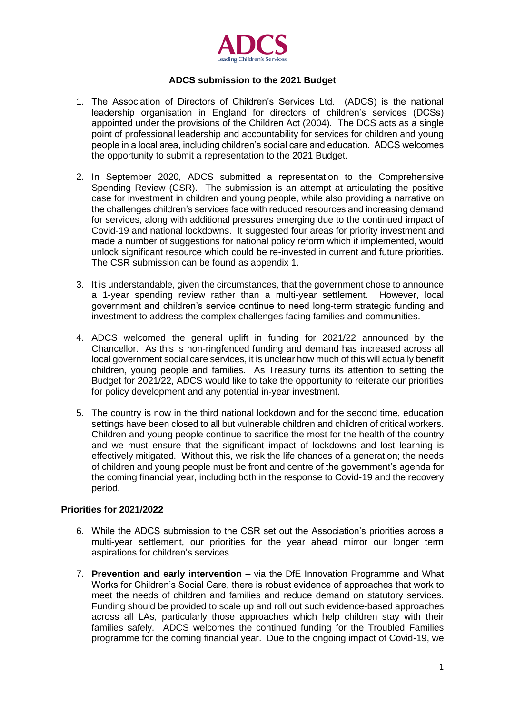

# **ADCS submission to the 2021 Budget**

- 1. The Association of Directors of Children's Services Ltd. (ADCS) is the national leadership organisation in England for directors of children's services (DCSs) appointed under the provisions of the Children Act (2004). The DCS acts as a single point of professional leadership and accountability for services for children and young people in a local area, including children's social care and education. ADCS welcomes the opportunity to submit a representation to the 2021 Budget.
- 2. In September 2020, ADCS submitted a representation to the Comprehensive Spending Review (CSR). The submission is an attempt at articulating the positive case for investment in children and young people, while also providing a narrative on the challenges children's services face with reduced resources and increasing demand for services, along with additional pressures emerging due to the continued impact of Covid-19 and national lockdowns. It suggested four areas for priority investment and made a number of suggestions for national policy reform which if implemented, would unlock significant resource which could be re-invested in current and future priorities. The CSR submission can be found as appendix 1.
- 3. It is understandable, given the circumstances, that the government chose to announce a 1-year spending review rather than a multi-year settlement. However, local government and children's service continue to need long-term strategic funding and investment to address the complex challenges facing families and communities.
- 4. ADCS welcomed the general uplift in funding for 2021/22 announced by the Chancellor. As this is non-ringfenced funding and demand has increased across all local government social care services, it is unclear how much of this will actually benefit children, young people and families. As Treasury turns its attention to setting the Budget for 2021/22, ADCS would like to take the opportunity to reiterate our priorities for policy development and any potential in-year investment.
- 5. The country is now in the third national lockdown and for the second time, education settings have been closed to all but vulnerable children and children of critical workers. Children and young people continue to sacrifice the most for the health of the country and we must ensure that the significant impact of lockdowns and lost learning is effectively mitigated. Without this, we risk the life chances of a generation; the needs of children and young people must be front and centre of the government's agenda for the coming financial year, including both in the response to Covid-19 and the recovery period.

# **Priorities for 2021/2022**

- 6. While the ADCS submission to the CSR set out the Association's priorities across a multi-year settlement, our priorities for the year ahead mirror our longer term aspirations for children's services.
- 7. **Prevention and early intervention –** via the DfE Innovation Programme and What Works for Children's Social Care, there is robust evidence of approaches that work to meet the needs of children and families and reduce demand on statutory services. Funding should be provided to scale up and roll out such evidence-based approaches across all LAs, particularly those approaches which help children stay with their families safely. ADCS welcomes the continued funding for the Troubled Families programme for the coming financial year. Due to the ongoing impact of Covid-19, we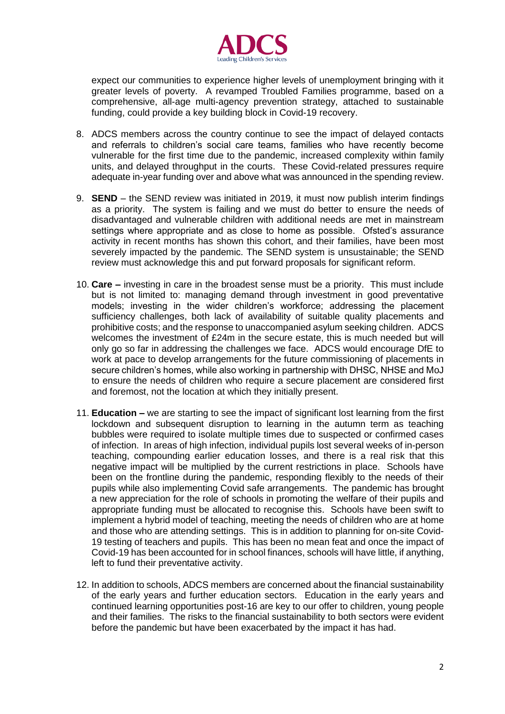

expect our communities to experience higher levels of unemployment bringing with it greater levels of poverty. A revamped Troubled Families programme, based on a comprehensive, all-age multi-agency prevention strategy, attached to sustainable funding, could provide a key building block in Covid-19 recovery.

- 8. ADCS members across the country continue to see the impact of delayed contacts and referrals to children's social care teams, families who have recently become vulnerable for the first time due to the pandemic, increased complexity within family units, and delayed throughput in the courts. These Covid-related pressures require adequate in-year funding over and above what was announced in the spending review.
- 9. **SEND** the SEND review was initiated in 2019, it must now publish interim findings as a priority. The system is failing and we must do better to ensure the needs of disadvantaged and vulnerable children with additional needs are met in mainstream settings where appropriate and as close to home as possible. Ofsted's assurance activity in recent months has shown this cohort, and their families, have been most severely impacted by the pandemic. The SEND system is unsustainable; the SEND review must acknowledge this and put forward proposals for significant reform.
- 10. **Care –** investing in care in the broadest sense must be a priority. This must include but is not limited to: managing demand through investment in good preventative models; investing in the wider children's workforce; addressing the placement sufficiency challenges, both lack of availability of suitable quality placements and prohibitive costs; and the response to unaccompanied asylum seeking children. ADCS welcomes the investment of £24m in the secure estate, this is much needed but will only go so far in addressing the challenges we face. ADCS would encourage DfE to work at pace to develop arrangements for the future commissioning of placements in secure children's homes, while also working in partnership with DHSC, NHSE and MoJ to ensure the needs of children who require a secure placement are considered first and foremost, not the location at which they initially present.
- 11. **Education –** we are starting to see the impact of significant lost learning from the first lockdown and subsequent disruption to learning in the autumn term as teaching bubbles were required to isolate multiple times due to suspected or confirmed cases of infection. In areas of high infection, individual pupils lost several weeks of in-person teaching, compounding earlier education losses, and there is a real risk that this negative impact will be multiplied by the current restrictions in place. Schools have been on the frontline during the pandemic, responding flexibly to the needs of their pupils while also implementing Covid safe arrangements. The pandemic has brought a new appreciation for the role of schools in promoting the welfare of their pupils and appropriate funding must be allocated to recognise this. Schools have been swift to implement a hybrid model of teaching, meeting the needs of children who are at home and those who are attending settings. This is in addition to planning for on-site Covid-19 testing of teachers and pupils. This has been no mean feat and once the impact of Covid-19 has been accounted for in school finances, schools will have little, if anything, left to fund their preventative activity.
- 12. In addition to schools, ADCS members are concerned about the financial sustainability of the early years and further education sectors. Education in the early years and continued learning opportunities post-16 are key to our offer to children, young people and their families. The risks to the financial sustainability to both sectors were evident before the pandemic but have been exacerbated by the impact it has had.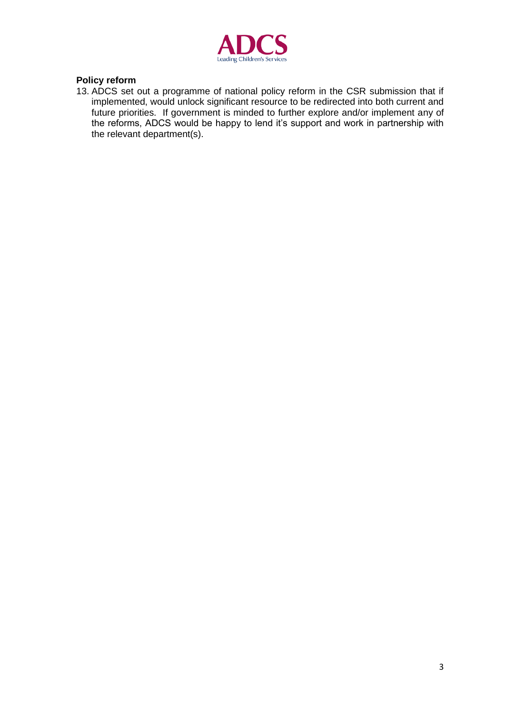

# **Policy reform**

13. ADCS set out a programme of national policy reform in the CSR submission that if implemented, would unlock significant resource to be redirected into both current and future priorities. If government is minded to further explore and/or implement any of the reforms, ADCS would be happy to lend it's support and work in partnership with the relevant department(s).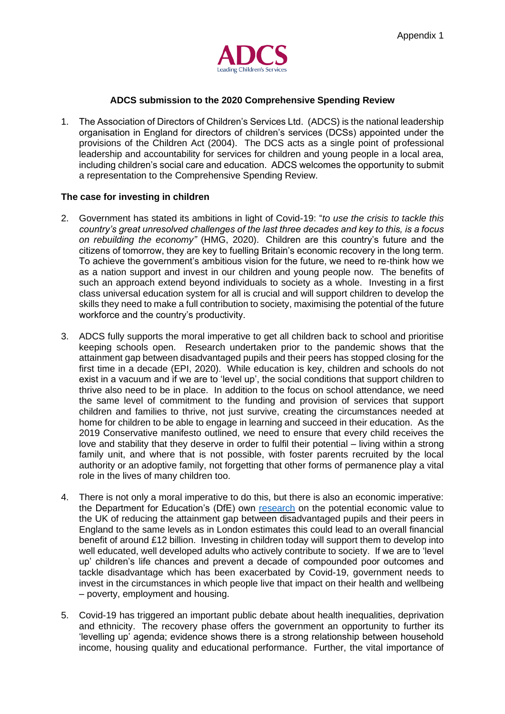

#### **ADCS submission to the 2020 Comprehensive Spending Review**

1. The Association of Directors of Children's Services Ltd. (ADCS) is the national leadership organisation in England for directors of children's services (DCSs) appointed under the provisions of the Children Act (2004). The DCS acts as a single point of professional leadership and accountability for services for children and young people in a local area, including children's social care and education. ADCS welcomes the opportunity to submit a representation to the Comprehensive Spending Review.

#### **The case for investing in children**

- 2. Government has stated its ambitions in light of Covid-19: "*to use the crisis to tackle this country's great unresolved challenges of the last three decades and key to this, is a focus on rebuilding the economy"* (HMG, 2020). Children are this country's future and the citizens of tomorrow, they are key to fuelling Britain's economic recovery in the long term. To achieve the government's ambitious vision for the future, we need to re-think how we as a nation support and invest in our children and young people now. The benefits of such an approach extend beyond individuals to society as a whole. Investing in a first class universal education system for all is crucial and will support children to develop the skills they need to make a full contribution to society, maximising the potential of the future workforce and the country's productivity.
- 3. ADCS fully supports the moral imperative to get all children back to school and prioritise keeping schools open. Research undertaken prior to the pandemic shows that the attainment gap between disadvantaged pupils and their peers has stopped closing for the first time in a decade (EPI, 2020). While education is key, children and schools do not exist in a vacuum and if we are to 'level up', the social conditions that support children to thrive also need to be in place. In addition to the focus on school attendance, we need the same level of commitment to the funding and provision of services that support children and families to thrive, not just survive, creating the circumstances needed at home for children to be able to engage in learning and succeed in their education. As the 2019 Conservative manifesto outlined, we need to ensure that every child receives the love and stability that they deserve in order to fulfil their potential – living within a strong family unit, and where that is not possible, with foster parents recruited by the local authority or an adoptive family, not forgetting that other forms of permanence play a vital role in the lives of many children too.
- 4. There is not only a moral imperative to do this, but there is also an economic imperative: the Department for Education's (DfE) own [research](https://assets.publishing.service.gov.uk/government/uploads/system/uploads/attachment_data/file/666899/Economic_returns_to_GCSEs_region_and_disadvantage.pdf) on the potential economic value to the UK of reducing the attainment gap between disadvantaged pupils and their peers in England to the same levels as in London estimates this could lead to an overall financial benefit of around £12 billion. Investing in children today will support them to develop into well educated, well developed adults who actively contribute to society. If we are to 'level up' children's life chances and prevent a decade of compounded poor outcomes and tackle disadvantage which has been exacerbated by Covid-19, government needs to invest in the circumstances in which people live that impact on their health and wellbeing – poverty, employment and housing.
- 5. Covid-19 has triggered an important public debate about health inequalities, deprivation and ethnicity. The recovery phase offers the government an opportunity to further its 'levelling up' agenda; evidence shows there is a strong relationship between household income, housing quality and educational performance. Further, the vital importance of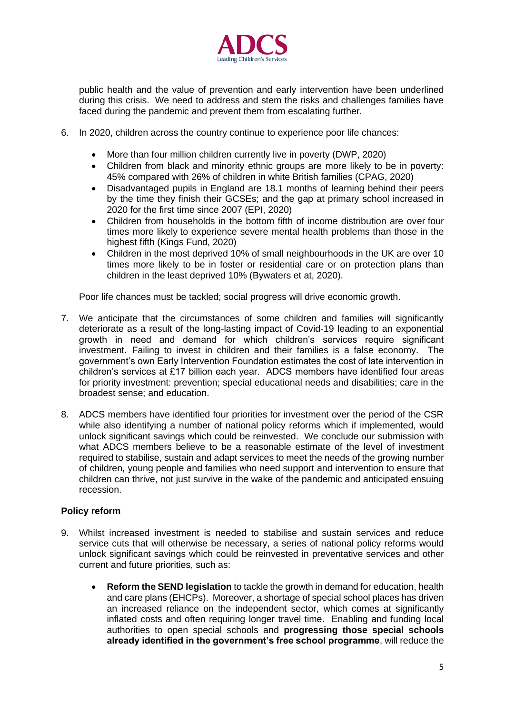

public health and the value of prevention and early intervention have been underlined during this crisis. We need to address and stem the risks and challenges families have faced during the pandemic and prevent them from escalating further.

- 6. In 2020, children across the country continue to experience poor life chances:
	- More than four million children currently live in poverty (DWP, 2020)
	- Children from black and minority ethnic groups are more likely to be in poverty: 45% compared with 26% of children in white British families (CPAG, 2020)
	- Disadvantaged pupils in England are 18.1 months of learning behind their peers by the time they finish their GCSEs; and the gap at primary school increased in 2020 for the first time since 2007 (EPI, 2020)
	- Children from households in the bottom fifth of income distribution are over [four](https://www.centreformentalhealth.org.uk/sites/default/files/2018-09/newcentury.pdf)  [times more likely](https://www.centreformentalhealth.org.uk/sites/default/files/2018-09/newcentury.pdf) to experience severe mental health problems than those in the highest fifth (Kings Fund, 2020)
	- Children in the most deprived 10% of small neighbourhoods in the UK are over 10 times more likely to be in foster or residential care or on protection plans than children in the least deprived 10% (Bywaters et at, 2020).

Poor life chances must be tackled; social progress will drive economic growth.

- 7. We anticipate that the circumstances of some children and families will significantly deteriorate as a result of the long-lasting impact of Covid-19 leading to an exponential growth in need and demand for which children's services require significant investment. Failing to invest in children and their families is a false economy. The government's own Early Intervention Foundation estimates the cost of late intervention in children's services at £17 billion each year. ADCS members have identified four areas for priority investment: prevention; special educational needs and disabilities; care in the broadest sense; and education.
- 8. ADCS members have identified four priorities for investment over the period of the CSR while also identifying a number of national policy reforms which if implemented, would unlock significant savings which could be reinvested. We conclude our submission with what ADCS members believe to be a reasonable estimate of the level of investment required to stabilise, sustain and adapt services to meet the needs of the growing number of children, young people and families who need support and intervention to ensure that children can thrive, not just survive in the wake of the pandemic and anticipated ensuing recession.

# **Policy reform**

- 9. Whilst increased investment is needed to stabilise and sustain services and reduce service cuts that will otherwise be necessary, a series of national policy reforms would unlock significant savings which could be reinvested in preventative services and other current and future priorities, such as:
	- **Reform the SEND legislation** to tackle the growth in demand for education, health and care plans (EHCPs). Moreover, a shortage of special school places has driven an increased reliance on the independent sector, which comes at significantly inflated costs and often requiring longer travel time. Enabling and funding local authorities to open special schools and **progressing those special schools already identified in the government's free school programme**, will reduce the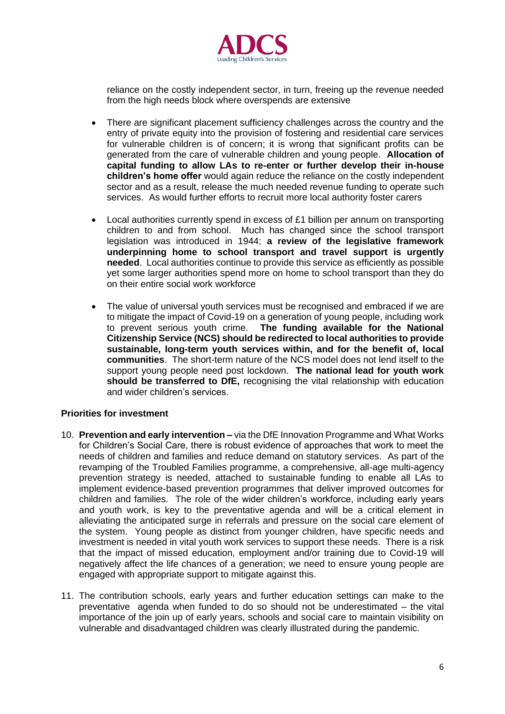

reliance on the costly independent sector, in turn, freeing up the revenue needed from the high needs block where overspends are extensive

- There are significant placement sufficiency challenges across the country and the entry of private equity into the provision of fostering and residential care services for vulnerable children is of concern; it is wrong that significant profits can be generated from the care of vulnerable children and young people. **Allocation of capital funding to allow LAs to re-enter or further develop their in-house children's home offer** would again reduce the reliance on the costly independent sector and as a result, release the much needed revenue funding to operate such services. As would further efforts to recruit more local authority foster carers
- Local authorities currently spend in excess of  $£1$  billion per annum on transporting children to and from school. Much has changed since the school transport legislation was introduced in 1944; **a review of the legislative framework underpinning home to school transport and travel support is urgently needed**. Local authorities continue to provide this service as efficiently as possible yet some larger authorities spend more on home to school transport than they do on their entire social work workforce
- The value of universal youth services must be recognised and embraced if we are to mitigate the impact of Covid-19 on a generation of young people, including work to prevent serious youth crime. **The funding available for the National Citizenship Service (NCS) should be redirected to local authorities to provide sustainable, long-term youth services within, and for the benefit of, local communities**. The short-term nature of the NCS model does not lend itself to the support young people need post lockdown. **The national lead for youth work should be transferred to DfE,** recognising the vital relationship with education and wider children's services.

#### **Priorities for investment**

- 10. **Prevention and early intervention –** via the DfE Innovation Programme and What Works for Children's Social Care, there is robust evidence of approaches that work to meet the needs of children and families and reduce demand on statutory services. As part of the revamping of the Troubled Families programme, a comprehensive, all-age multi-agency prevention strategy is needed, attached to sustainable funding to enable all LAs to implement evidence-based prevention programmes that deliver improved outcomes for children and families. The role of the wider children's workforce, including early years and youth work, is key to the preventative agenda and will be a critical element in alleviating the anticipated surge in referrals and pressure on the social care element of the system. Young people as distinct from younger children, have specific needs and investment is needed in vital youth work services to support these needs. There is a risk that the impact of missed education, employment and/or training due to Covid-19 will negatively affect the life chances of a generation; we need to ensure young people are engaged with appropriate support to mitigate against this.
- 11. The contribution schools, early years and further education settings can make to the preventative agenda when funded to do so should not be underestimated – the vital importance of the join up of early years, schools and social care to maintain visibility on vulnerable and disadvantaged children was clearly illustrated during the pandemic.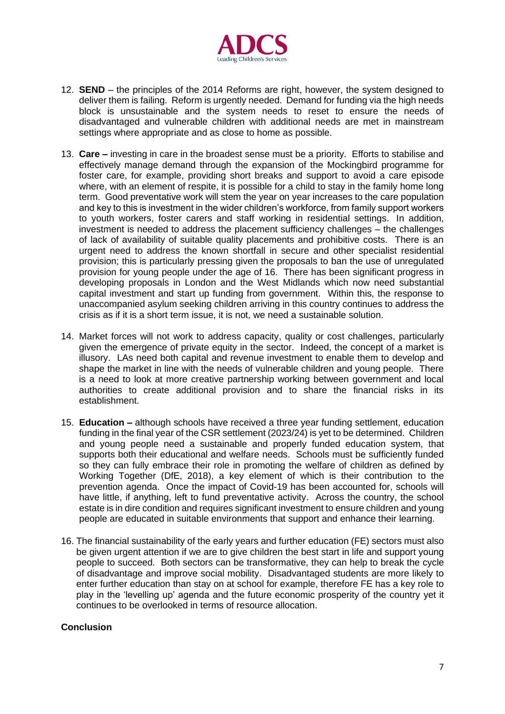

- 12. **SEND** the principles of the 2014 Reforms are right, however, the system designed to deliver them is failing. Reform is urgently needed. Demand for funding via the high needs block is unsustainable and the system needs to reset to ensure the needs of disadvantaged and vulnerable children with additional needs are met in mainstream settings where appropriate and as close to home as possible.
- 13. **Care –** investing in care in the broadest sense must be a priority. Efforts to stabilise and effectively manage demand through the expansion of the Mockingbird programme for foster care, for example, providing short breaks and support to avoid a care episode where, with an element of respite, it is possible for a child to stay in the family home long term. Good preventative work will stem the year on year increases to the care population and key to this is investment in the wider children's workforce, from family support workers to youth workers, foster carers and staff working in residential settings. In addition, investment is needed to address the placement sufficiency challenges – the challenges of lack of availability of suitable quality placements and prohibitive costs. There is an urgent need to address the known shortfall in secure and other specialist residential provision; this is particularly pressing given the proposals to ban the use of unregulated provision for young people under the age of 16. There has been significant progress in developing proposals in London and the West Midlands which now need substantial capital investment and start up funding from government. Within this, the response to unaccompanied asylum seeking children arriving in this country continues to address the crisis as if it is a short term issue, it is not, we need a sustainable solution.
- 14. Market forces will not work to address capacity, quality or cost challenges, particularly given the emergence of private equity in the sector. Indeed, the concept of a market is illusory. LAs need both capital and revenue investment to enable them to develop and shape the market in line with the needs of vulnerable children and young people. There is a need to look at more creative partnership working between government and local authorities to create additional provision and to share the financial risks in its establishment.
- 15. **Education –** although schools have received a three year funding settlement, education funding in the final year of the CSR settlement (2023/24) is yet to be determined. Children and young people need a sustainable and properly funded education system, that supports both their educational and welfare needs. Schools must be sufficiently funded so they can fully embrace their role in promoting the welfare of children as defined by Working Together (DfE, 2018), a key element of which is their contribution to the prevention agenda. Once the impact of Covid-19 has been accounted for, schools will have little, if anything, left to fund preventative activity. Across the country, the school estate is in dire condition and requires significant investment to ensure children and young people are educated in suitable environments that support and enhance their learning.
- 16. The financial sustainability of the early years and further education (FE) sectors must also be given urgent attention if we are to give children the best start in life and support young people to succeed. Both sectors can be transformative, they can help to break the cycle of disadvantage and improve social mobility. Disadvantaged students are more likely to enter further education than stay on at school for example, therefore FE has a key role to play in the 'levelling up' agenda and the future economic prosperity of the country yet it continues to be overlooked in terms of resource allocation.

# **Conclusion**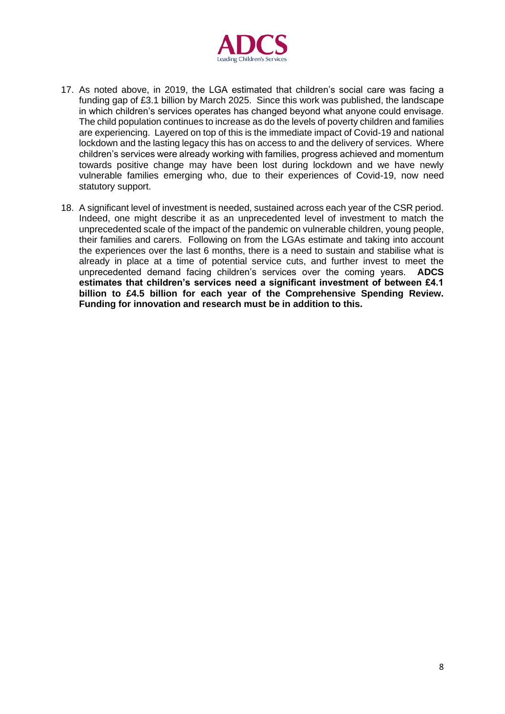

- 17. As noted above, in 2019, the LGA estimated that children's social care was facing a funding gap of £3.1 billion by March 2025. Since this work was published, the landscape in which children's services operates has changed beyond what anyone could envisage. The child population continues to increase as do the levels of poverty children and families are experiencing. Layered on top of this is the immediate impact of Covid-19 and national lockdown and the lasting legacy this has on access to and the delivery of services. Where children's services were already working with families, progress achieved and momentum towards positive change may have been lost during lockdown and we have newly vulnerable families emerging who, due to their experiences of Covid-19, now need statutory support.
- 18. A significant level of investment is needed, sustained across each year of the CSR period. Indeed, one might describe it as an unprecedented level of investment to match the unprecedented scale of the impact of the pandemic on vulnerable children, young people, their families and carers. Following on from the LGAs estimate and taking into account the experiences over the last 6 months, there is a need to sustain and stabilise what is already in place at a time of potential service cuts, and further invest to meet the unprecedented demand facing children's services over the coming years. **ADCS estimates that children's services need a significant investment of between £4.1 billion to £4.5 billion for each year of the Comprehensive Spending Review. Funding for innovation and research must be in addition to this.**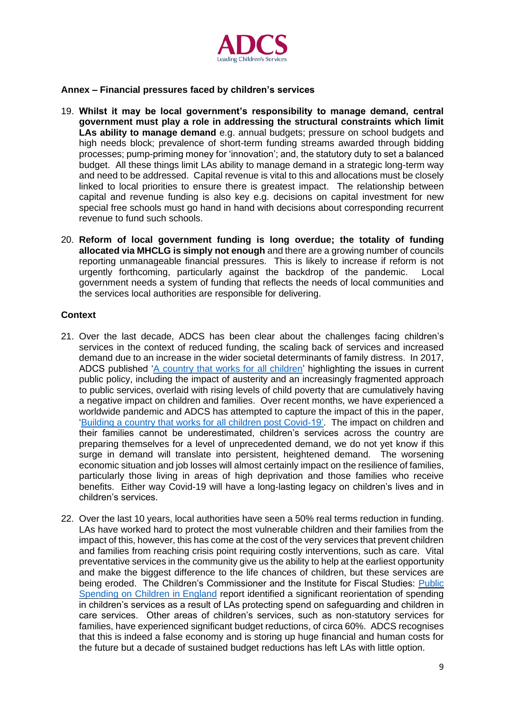

# **Annex – Financial pressures faced by children's services**

- 19. **Whilst it may be local government's responsibility to manage demand, central government must play a role in addressing the structural constraints which limit LAs ability to manage demand** e.g. annual budgets; pressure on school budgets and high needs block; prevalence of short-term funding streams awarded through bidding processes; pump-priming money for 'innovation'; and, the statutory duty to set a balanced budget. All these things limit LAs ability to manage demand in a strategic long-term way and need to be addressed. Capital revenue is vital to this and allocations must be closely linked to local priorities to ensure there is greatest impact. The relationship between capital and revenue funding is also key e.g. decisions on capital investment for new special free schools must go hand in hand with decisions about corresponding recurrent revenue to fund such schools.
- 20. **Reform of local government funding is long overdue; the totality of funding allocated via MHCLG is simply not enough** and there are a growing number of councils reporting unmanageable financial pressures. This is likely to increase if reform is not urgently forthcoming, particularly against the backdrop of the pandemic. Local government needs a system of funding that reflects the needs of local communities and the services local authorities are responsible for delivering.

#### **Context**

- 21. Over the last decade, ADCS has been clear about the challenges facing children's services in the context of reduced funding, the scaling back of services and increased demand due to an increase in the wider societal determinants of family distress. In 2017, ADCS published ['A country that works for all children'](https://adcs.org.uk/assets/documentation/ADCS_A_country_that_works_for_all_children_FINAL.pdf) highlighting the issues in current public policy, including the impact of austerity and an increasingly fragmented approach to public services, overlaid with rising levels of child poverty that are cumulatively having a negative impact on children and families. Over recent months, we have experienced a worldwide pandemic and ADCS has attempted to capture the impact of this in the paper, ['Building a country that works for all children post Covid-19'.](https://adcs.org.uk/assets/documentation/ADCS_Building_a_country_that_works_for_all_children_post_Covid-19.pdf) The impact on children and their families cannot be underestimated, children's services across the country are preparing themselves for a level of unprecedented demand, we do not yet know if this surge in demand will translate into persistent, heightened demand. The worsening economic situation and job losses will almost certainly impact on the resilience of families, particularly those living in areas of high deprivation and those families who receive benefits. Either way Covid-19 will have a long-lasting legacy on children's lives and in children's services.
- 22. Over the last 10 years, local authorities have seen a 50% real terms reduction in funding. LAs have worked hard to protect the most vulnerable children and their families from the impact of this, however, this has come at the cost of the very services that prevent children and families from reaching crisis point requiring costly interventions, such as care. Vital preventative services in the community give us the ability to help at the earliest opportunity and make the biggest difference to the life chances of children, but these services are being eroded. The Children's Commissioner and the Institute for Fiscal Studies: [Public](https://www.childrenscommissioner.gov.uk/wp-content/uploads/2018/06/Public-Spending-on-Children-in-England-CCO-JUNE-2018.pdf)  Spending [on Children in England](https://www.childrenscommissioner.gov.uk/wp-content/uploads/2018/06/Public-Spending-on-Children-in-England-CCO-JUNE-2018.pdf) report identified a significant reorientation of spending in children's services as a result of LAs protecting spend on safeguarding and children in care services. Other areas of children's services, such as non-statutory services for families, have experienced significant budget reductions, of circa 60%. ADCS recognises that this is indeed a false economy and is storing up huge financial and human costs for the future but a decade of sustained budget reductions has left LAs with little option.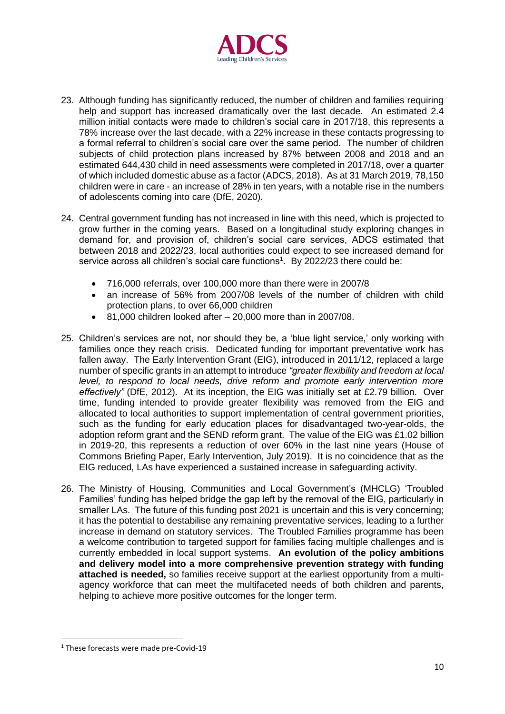

- 23. Although funding has significantly reduced, the number of children and families requiring help and support has increased dramatically over the last decade. An estimated 2.4 million initial contacts were made to children's social care in 2017/18, this represents a 78% increase over the last decade, with a 22% increase in these contacts progressing to a formal referral to children's social care over the same period. The number of children subjects of child protection plans increased by 87% between 2008 and 2018 and an estimated 644,430 child in need assessments were completed in 2017/18, over a quarter of which included domestic abuse as a factor (ADCS, 2018). As at 31 March 2019, 78,150 children were in care - an increase of 28% in ten years, with a notable rise in the numbers of adolescents coming into care (DfE, 2020).
- 24. Central government funding has not increased in line with this need, which is projected to grow further in the coming years. Based on a longitudinal study exploring changes in demand for, and provision of, children's social care services, ADCS estimated that between 2018 and 2022/23, local authorities could expect to see increased demand for service across all children's social care functions<sup>1</sup>. By 2022/23 there could be:
	- 716,000 referrals, over 100,000 more than there were in 2007/8
	- an increase of 56% from 2007/08 levels of the number of children with child protection plans, to over 66,000 children
	- 81,000 children looked after 20,000 more than in 2007/08.
- 25. Children's services are not, nor should they be, a 'blue light service,' only working with families once they reach crisis. Dedicated funding for important preventative work has fallen away. The Early Intervention Grant (EIG), introduced in 2011/12, replaced a large number of specific grants in an attempt to introduce *"greater flexibility and freedom at local level, to respond to local needs, drive reform and promote early intervention more effectively"* (DfE, 2012). At its inception, the EIG was initially set at £2.79 billion. Over time, funding intended to provide greater flexibility was removed from the EIG and allocated to local authorities to support implementation of central government priorities, such as the funding for early education places for disadvantaged two-year-olds, the adoption reform grant and the SEND reform grant. The value of the EIG was £1.02 billion in 2019-20, this represents a reduction of over 60% in the last nine years (House of Commons Briefing Paper, Early Intervention, July 2019). It is no coincidence that as the EIG reduced, LAs have experienced a sustained increase in safeguarding activity.
- 26. The Ministry of Housing, Communities and Local Government's (MHCLG) 'Troubled Families' funding has helped bridge the gap left by the removal of the EIG, particularly in smaller LAs. The future of this funding post 2021 is uncertain and this is very concerning; it has the potential to destabilise any remaining preventative services, leading to a further increase in demand on statutory services. The Troubled Families programme has been a welcome contribution to targeted support for families facing multiple challenges and is currently embedded in local support systems. **An evolution of the policy ambitions and delivery model into a more comprehensive prevention strategy with funding attached is needed,** so families receive support at the earliest opportunity from a multiagency workforce that can meet the multifaceted needs of both children and parents, helping to achieve more positive outcomes for the longer term.

<sup>&</sup>lt;sup>1</sup> These forecasts were made pre-Covid-19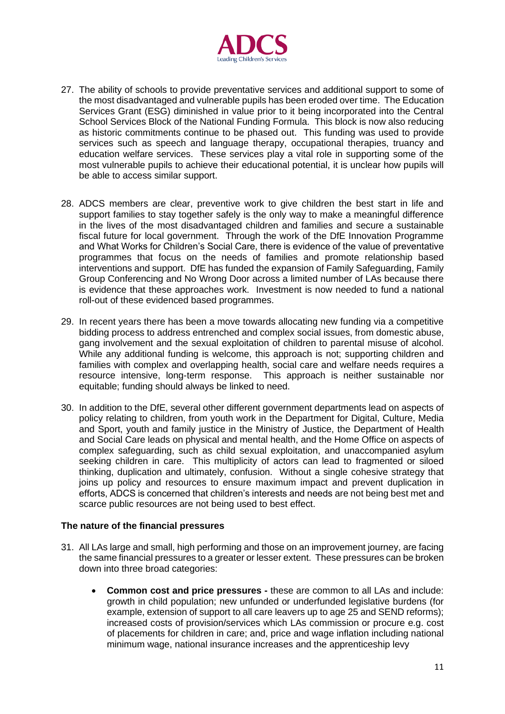

- 27. The ability of schools to provide preventative services and additional support to some of the most disadvantaged and vulnerable pupils has been eroded over time. The Education Services Grant (ESG) diminished in value prior to it being incorporated into the Central School Services Block of the National Funding Formula. This block is now also reducing as historic commitments continue to be phased out. This funding was used to provide services such as speech and language therapy, occupational therapies, truancy and education welfare services. These services play a vital role in supporting some of the most vulnerable pupils to achieve their educational potential, it is unclear how pupils will be able to access similar support.
- 28. ADCS members are clear, preventive work to give children the best start in life and support families to stay together safely is the only way to make a meaningful difference in the lives of the most disadvantaged children and families and secure a sustainable fiscal future for local government. Through the work of the DfE Innovation Programme and What Works for Children's Social Care, there is evidence of the value of preventative programmes that focus on the needs of families and promote relationship based interventions and support. DfE has funded the expansion of Family Safeguarding, Family Group Conferencing and No Wrong Door across a limited number of LAs because there is evidence that these approaches work. Investment is now needed to fund a national roll-out of these evidenced based programmes.
- 29. In recent years there has been a move towards allocating new funding via a competitive bidding process to address entrenched and complex social issues, from domestic abuse, gang involvement and the sexual exploitation of children to parental misuse of alcohol. While any additional funding is welcome, this approach is not; supporting children and families with complex and overlapping health, social care and welfare needs requires a resource intensive, long-term response. This approach is neither sustainable nor equitable; funding should always be linked to need.
- 30. In addition to the DfE, several other different government departments lead on aspects of policy relating to children, from youth work in the Department for Digital, Culture, Media and Sport, youth and family justice in the Ministry of Justice, the Department of Health and Social Care leads on physical and mental health, and the Home Office on aspects of complex safeguarding, such as child sexual exploitation, and unaccompanied asylum seeking children in care. This multiplicity of actors can lead to fragmented or siloed thinking, duplication and ultimately, confusion. Without a single cohesive strategy that joins up policy and resources to ensure maximum impact and prevent duplication in efforts, ADCS is concerned that children's interests and needs are not being best met and scarce public resources are not being used to best effect.

#### **The nature of the financial pressures**

- 31. All LAs large and small, high performing and those on an improvement journey, are facing the same financial pressures to a greater or lesser extent. These pressures can be broken down into three broad categories:
	- **Common cost and price pressures -** these are common to all LAs and include: growth in child population; new unfunded or underfunded legislative burdens (for example, extension of support to all care leavers up to age 25 and SEND reforms); increased costs of provision/services which LAs commission or procure e.g. cost of placements for children in care; and, price and wage inflation including national minimum wage, national insurance increases and the apprenticeship levy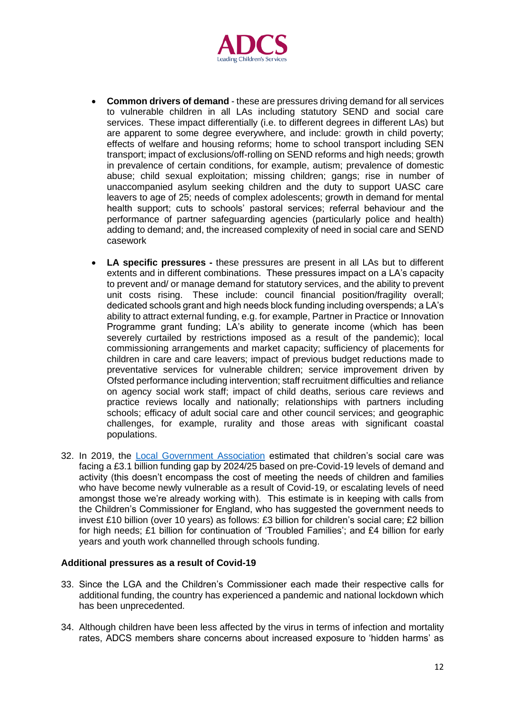

- **Common drivers of demand** these are pressures driving demand for all services to vulnerable children in all LAs including statutory SEND and social care services. These impact differentially (i.e. to different degrees in different LAs) but are apparent to some degree everywhere, and include: growth in child poverty; effects of welfare and housing reforms; home to school transport including SEN transport; impact of exclusions/off-rolling on SEND reforms and high needs; growth in prevalence of certain conditions, for example, autism; prevalence of domestic abuse; child sexual exploitation; missing children; gangs; rise in number of unaccompanied asylum seeking children and the duty to support UASC care leavers to age of 25; needs of complex adolescents; growth in demand for mental health support; cuts to schools' pastoral services; referral behaviour and the performance of partner safeguarding agencies (particularly police and health) adding to demand; and, the increased complexity of need in social care and SEND casework
- **LA specific pressures -** these pressures are present in all LAs but to different extents and in different combinations. These pressures impact on a LA's capacity to prevent and/ or manage demand for statutory services, and the ability to prevent unit costs rising. These include: council financial position/fragility overall; dedicated schools grant and high needs block funding including overspends; a LA's ability to attract external funding, e.g. for example, Partner in Practice or Innovation Programme grant funding; LA's ability to generate income (which has been severely curtailed by restrictions imposed as a result of the pandemic); local commissioning arrangements and market capacity; sufficiency of placements for children in care and care leavers; impact of previous budget reductions made to preventative services for vulnerable children; service improvement driven by Ofsted performance including intervention; staff recruitment difficulties and reliance on agency social work staff; impact of child deaths, serious care reviews and practice reviews locally and nationally; relationships with partners including schools; efficacy of adult social care and other council services; and geographic challenges, for example, rurality and those areas with significant coastal populations.
- 32. In 2019, the [Local Government Association](https://www.local.gov.uk/sites/default/files/documents/Explaining%20Variation%20in%20Spending%20-%20Children%27s%20Services%2C%20Full%20Report_0.pdf) estimated that children's social care was facing a £3.1 billion funding gap by 2024/25 based on pre-Covid-19 levels of demand and activity (this doesn't encompass the cost of meeting the needs of children and families who have become newly vulnerable as a result of Covid-19, or escalating levels of need amongst those we're already working with). This estimate is in keeping with calls from the Children's Commissioner for England, who has suggested the government needs to invest £10 billion (over 10 years) as follows: £3 billion for children's social care; £2 billion for high needs; £1 billion for continuation of 'Troubled Families'; and £4 billion for early years and youth work channelled through schools funding.

#### **Additional pressures as a result of Covid-19**

- 33. Since the LGA and the Children's Commissioner each made their respective calls for additional funding, the country has experienced a pandemic and national lockdown which has been unprecedented.
- 34. Although children have been less affected by the virus in terms of infection and mortality rates, ADCS members share concerns about increased exposure to 'hidden harms' as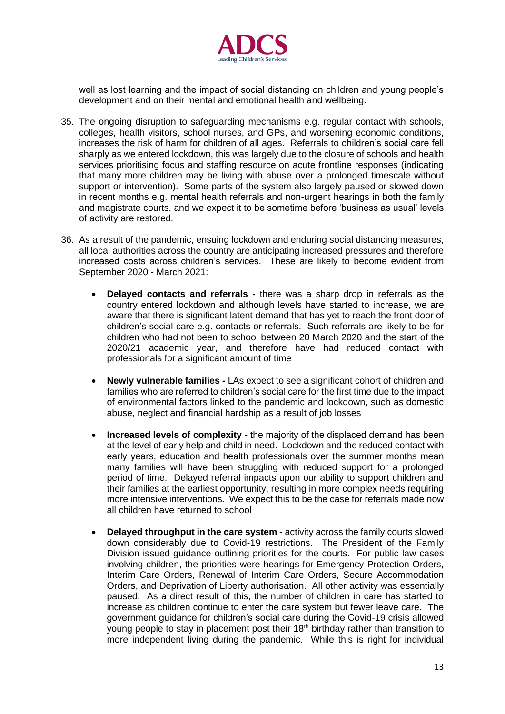

well as lost learning and the impact of social distancing on children and young people's development and on their mental and emotional health and wellbeing.

- 35. The ongoing disruption to safeguarding mechanisms e.g. regular contact with schools, colleges, health visitors, school nurses, and GPs, and worsening economic conditions, increases the risk of harm for children of all ages. Referrals to children's social care fell sharply as we entered lockdown, this was largely due to the closure of schools and health services prioritising focus and staffing resource on acute frontline responses (indicating that many more children may be living with abuse over a prolonged timescale without support or intervention). Some parts of the system also largely paused or slowed down in recent months e.g. mental health referrals and non-urgent hearings in both the family and magistrate courts, and we expect it to be sometime before 'business as usual' levels of activity are restored.
- 36. As a result of the pandemic, ensuing lockdown and enduring social distancing measures, all local authorities across the country are anticipating increased pressures and therefore increased costs across children's services. These are likely to become evident from September 2020 - March 2021:
	- **Delayed contacts and referrals -** there was a sharp drop in referrals as the country entered lockdown and although levels have started to increase, we are aware that there is significant latent demand that has yet to reach the front door of children's social care e.g. contacts or referrals. Such referrals are likely to be for children who had not been to school between 20 March 2020 and the start of the 2020/21 academic year, and therefore have had reduced contact with professionals for a significant amount of time
	- **Newly vulnerable families -** LAs expect to see a significant cohort of children and families who are referred to children's social care for the first time due to the impact of environmental factors linked to the pandemic and lockdown, such as domestic abuse, neglect and financial hardship as a result of job losses
	- **Increased levels of complexity -** the majority of the displaced demand has been at the level of early help and child in need. Lockdown and the reduced contact with early years, education and health professionals over the summer months mean many families will have been struggling with reduced support for a prolonged period of time. Delayed referral impacts upon our ability to support children and their families at the earliest opportunity, resulting in more complex needs requiring more intensive interventions. We expect this to be the case for referrals made now all children have returned to school
	- **Delayed throughput in the care system -** activity across the family courts slowed down considerably due to Covid-19 restrictions. The President of the Family Division issued guidance outlining priorities for the courts. For public law cases involving children, the priorities were hearings for Emergency Protection Orders, Interim Care Orders, Renewal of Interim Care Orders, Secure Accommodation Orders, and Deprivation of Liberty authorisation. All other activity was essentially paused. As a direct result of this, the number of children in care has started to increase as children continue to enter the care system but fewer leave care. The government guidance for children's social care during the Covid-19 crisis allowed young people to stay in placement post their 18<sup>th</sup> birthday rather than transition to more independent living during the pandemic. While this is right for individual